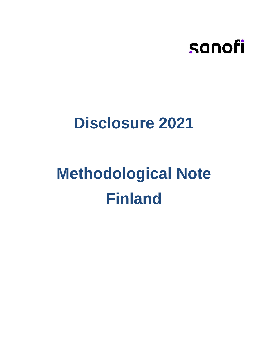

## **Disclosure 2021**

# **Methodological Note Finland**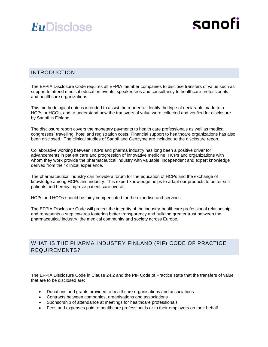## sanofi

#### INTRODUCTION

The EFPIA Disclosure Code requires all EFPIA member companies to disclose transfers of value such as support to attend medical education events, speaker fees and consultancy to healthcare professionals and healthcare organizations.

This methodological note is intended to assist the reader to identify the type of declarable made to a HCPs or HCOs, and to understand how the transvers of value were collected and verified for disclosure by Sanofi in Finland.

The disclosure report covers the monetary payments to health care professionals as well as medical congresses´ travelling, hotel and registration costs. Financial support to healthcare organizations has also been disclosed. The clinical studies of Sanofi and Genzyme are included to the disclosure report.

Collaborative working between HCPs and pharma industry has long been a positive driver for advancements in patient care and progression of innovative medicine. HCPs and organizations with whom they work provide the pharmaceutical industry with valuable, independent and expert knowledge derived from their clinical experience.

The pharmaceutical industry can provide a forum for the education of HCPs and the exchange of knowledge among HCPs and industry. This expert knowledge helps to adapt our products to better suit patients and hereby improve patient care overall.

HCPs and HCOs should be fairly compensated for the expertise and services.

The EFPIA Disclosure Code will protect the integrity of the industry-healthcare professional relationship, and represents a step towards fostering better transparency and building greater trust between the pharmaceutical industry, the medical community and society across Europe.

#### WHAT IS THE PHARMA INDUSTRY FINLAND (PIF) CODE OF PRACTICE REQUIREMENTS?

The EFPIA Disclosure Code in Clause 24.2 and the PIF Code of Practice state that the transfers of value that are to be disclosed are:

- Donations and grants provided to healthcare organisations and associations
- Contracts between companies, organisations and associations
- Sponsorship of attendance at meetings for healthcare professionals
- Fees and expenses paid to healthcare professionals or to their employers on their behalf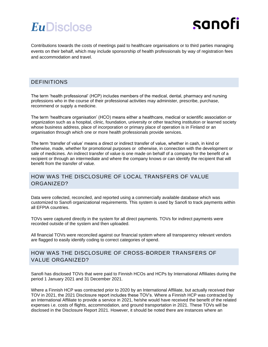

Contributions towards the costs of meetings paid to healthcare organisations or to third parties managing events on their behalf, which may include sponsorship of health professionals by way of registration fees and accommodation and travel.

#### DEFINITIONS

The term 'health professional' (HCP) includes members of the medical, dental, pharmacy and nursing professions who in the course of their professional activities may administer, prescribe, purchase, recommend or supply a medicine.

The term 'healthcare organisation' (HCO) means either a healthcare, medical or scientific association or organization such as a hospital, clinic, foundation, university or other teaching institution or learned society whose business address, place of incorporation or primary place of operation is in Finland or an organisation through which one or more health professionals provide services.

The term 'transfer of value' means a direct or indirect transfer of value, whether in cash, in kind or otherwise, made, whether for promotional purposes or otherwise, in connection with the development or sale of medicines. An indirect transfer of value is one made on behalf of a company for the benefit of a recipient or through an intermediate and where the company knows or can identify the recipient that will benefit from the transfer of value.

#### HOW WAS THE DISCLOSURE OF LOCAL TRANSFERS OF VALUE ORGANIZED?

Data were collected, reconciled, and reported using a commercially available database which was customized to Sanofi organizational requirements. This system is used by Sanofi to track payments within all EFPIA countries.

TOVs were captured directly in the system for all direct payments. TOVs for indirect payments were recorded outside of the system and then uploaded.

All financial TOVs were reconciled against our financial system where all transparency relevant vendors are flagged to easily identify coding to correct categories of spend.

#### HOW WAS THE DISCLOSURE OF CROSS-BORDER TRANSFERS OF VALUE ORGANIZED?

Sanofi has disclosed TOVs that were paid to Finnish HCOs and HCPs by International Affiliates during the period 1 January 2021 and 31 December 2021.

Where a Finnish HCP was contracted prior to 2020 by an International Affiliate, but actually received their TOV in 2021, the 2021 Disclosure report includes these TOV's. Where a Finnish HCP was contracted by an International Affiliate to provide a service in 2021, he/she would have received the benefit of the related expenses i.e. costs of flights, accommodation, and ground transportation in 2021. These TOVs will be disclosed in the Disclosure Report 2021. However, it should be noted there are instances where an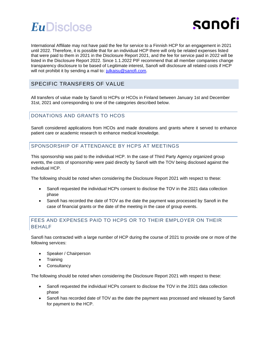

International Affiliate may not have paid the fee for service to a Finnish HCP for an engagement in 2021 until 2022. Therefore, it is possible that for an individual HCP there will only be related expenses listed that were paid to them in 2021 in the Disclosure Report 2021, and the fee for service paid in 2022 will be listed in the Disclosure Report 2022. Since 1.1.2022 PIF recommend that all member companies change transparency disclosure to be based of Legitimate interest, Sanofi will disclosure all related costs if HCP will not prohibit it by sending a mail to: [julkaisu@sanofi.com.](mailto:julkaisu@sanofi.com)

#### SPECIFIC TRANSFERS OF VALUE

All transfers of value made by Sanofi to HCPs or HCOs in Finland between January 1st and December 31st, 2021 and corresponding to one of the categories described below.

#### DONATIONS AND GRANTS TO HCOS

Sanofi considered applications from HCOs and made donations and grants where it served to enhance patient care or academic research to enhance medical knowledge.

#### SPONSORSHIP OF ATTENDANCE BY HCPS AT MEETINGS

This sponsorship was paid to the individual HCP. In the case of Third Party Agency organized group events, the costs of sponsorship were paid directly by Sanofi with the TOV being disclosed against the individual HCP.

The following should be noted when considering the Disclosure Report 2021 with respect to these:

- Sanofi requested the individual HCPs consent to disclose the TOV in the 2021 data collection phase
- Sanofi has recorded the date of TOV as the date the payment was processed by Sanofi in the case of financial grants or the date of the meeting in the case of group events.

#### FEES AND EXPENSES PAID TO HCPS OR TO THEIR EMPLOYER ON THEIR BEHALF

Sanofi has contracted with a large number of HCP during the course of 2021 to provide one or more of the following services:

- Speaker / Chairperson
- **Training**
- **Consultancy**

The following should be noted when considering the Disclosure Report 2021 with respect to these:

- Sanofi requested the individual HCPs consent to disclose the TOV in the 2021 data collection phase
- Sanofi has recorded date of TOV as the date the payment was processed and released by Sanofi for payment to the HCP.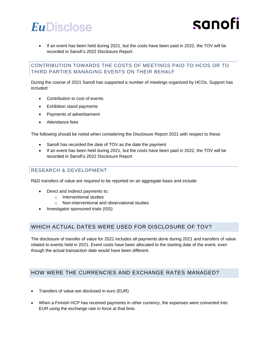

• If an event has been held during 2021, but the costs have been paid in 2022, the TOV will be recorded in Sanofi's 2022 Disclosure Report.

#### CONTRIBUTION TOWARDS THE COSTS OF MEETINGS PAID TO HCOS OR TO THIRD PARTIES MANAGING EVENTS ON THEIR BEHALF

During the course of 2021 Sanofi has supported a number of meetings organized by HCOs. Support has included:

- Contribution to cost of events
- Exhibition stand payments
- Payments of advertisement
- Attendance fees

The following should be noted when considering the Disclosure Report 2021 with respect to these:

- Sanofi has recorded the date of TOV as the date the payment
- If an event has been held during 2021, but the costs have been paid in 2022, the TOV will be recorded in Sanofi's 2022 Disclosure Report

#### RESEARCH & DEVELOPMENT

R&D transfers of value are required to be reported on an aggregate basis and include:

- Direct and Indirect payments to:
	- o Interventional studies
	- o Non-interventional and observational studies
- Investigator sponsored trials (ISS)

#### WHICH ACTUAL DATES WERE USED FOR DISCLOSURE OF TOV?

The disclosure of transfer of value for 2021 includes all payments done during 2021 and transfers of value related to events held in 2021. Event costs have been allocated to the starting date of the event, even though the actual transaction date would have been different.

#### HOW WERE THE CURRENCIES AND EXCHANGE RATES MANAGED?

- Transfers of value are disclosed in euro (EUR)
- When a Finnish HCP has received payments in other currency, the expenses were converted into EUR using the exchange rate in force at that time.